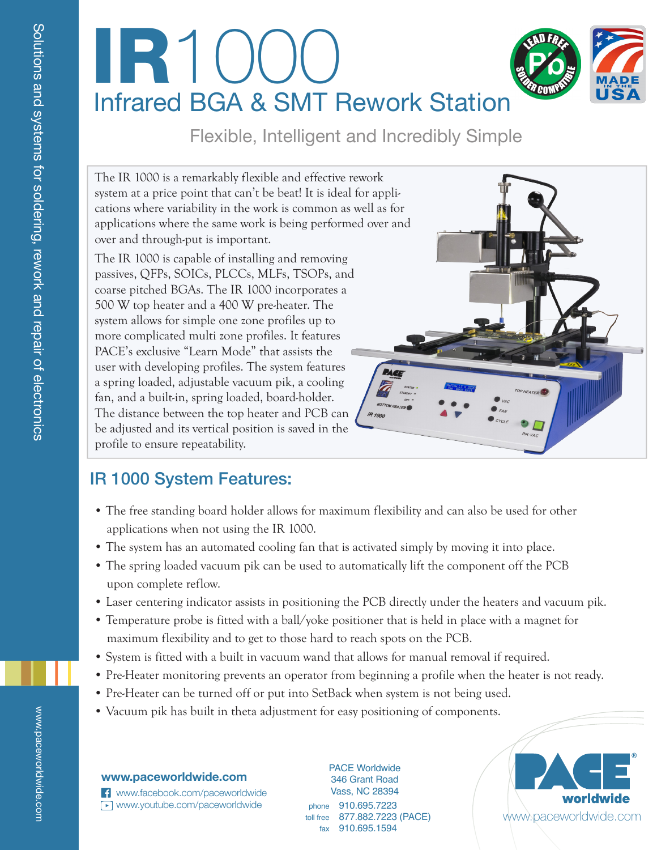# Infrared BGA & SMT Rework Station IR1

# Flexible, Intelligent and Incredibly Simple

The IR 1000 is a remarkably flexible and effective rework system at a price point that can't be beat! It is ideal for applications where variability in the work is common as well as for applications where the same work is being performed over and over and through-put is important.

The IR 1000 is capable of installing and removing passives, QFPs, SOICs, PLCCs, MLFs, TSOPs, and coarse pitched BGAs. The IR 1000 incorporates a 500 W top heater and a 400 W pre-heater. The system allows for simple one zone profiles up to more complicated multi zone profiles. It features PACE's exclusive "Learn Mode" that assists the user with developing profiles. The system features a spring loaded, adjustable vacuum pik, a cooling fan, and a built-in, spring loaded, board-holder. The distance between the top heater and PCB can be adjusted and its vertical position is saved in the profile to ensure repeatability.



## IR 1000 System Features:

- The free standing board holder allows for maximum flexibility and can also be used for other applications when not using the IR 1000.
- The system has an automated cooling fan that is activated simply by moving it into place.
- The spring loaded vacuum pik can be used to automatically lift the component off the PCB upon complete reflow.
- Laser centering indicator assists in positioning the PCB directly under the heaters and vacuum pik.
- Temperature probe is fitted with a ball/yoke positioner that is held in place with a magnet for maximum flexibility and to get to those hard to reach spots on the PCB.
- System is fitted with a built in vacuum wand that allows for manual removal if required.
- Pre-Heater monitoring prevents an operator from beginning a profile when the heater is not ready.
- Pre-Heater can be turned off or put into SetBack when system is not being used.
- Vacuum pik has built in theta adjustment for easy positioning of components.

#### **www.paceworldwide.com**

www.facebook.com/paceworldwide ▶ www.youtube.com/paceworldwide phone 910.695.7223

toll free 877.882.7223 (PACE) fax 910.695.1594 PACE Worldwide 346 Grant Road Vass, NC 28394